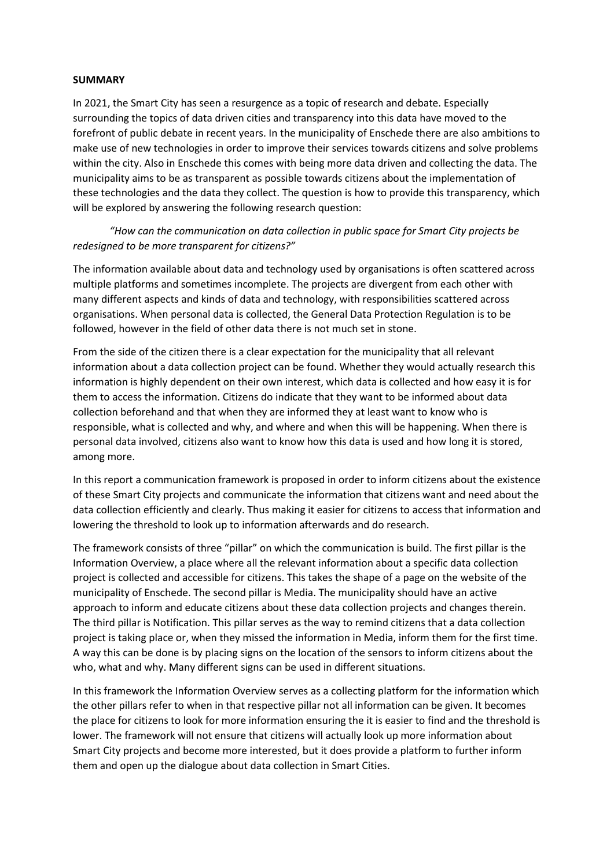## **SUMMARY**

In 2021, the Smart City has seen a resurgence as a topic of research and debate. Especially surrounding the topics of data driven cities and transparency into this data have moved to the forefront of public debate in recent years. In the municipality of Enschede there are also ambitions to make use of new technologies in order to improve their services towards citizens and solve problems within the city. Also in Enschede this comes with being more data driven and collecting the data. The municipality aims to be as transparent as possible towards citizens about the implementation of these technologies and the data they collect. The question is how to provide this transparency, which will be explored by answering the following research question:

## *"How can the communication on data collection in public space for Smart City projects be redesigned to be more transparent for citizens?"*

The information available about data and technology used by organisations is often scattered across multiple platforms and sometimes incomplete. The projects are divergent from each other with many different aspects and kinds of data and technology, with responsibilities scattered across organisations. When personal data is collected, the General Data Protection Regulation is to be followed, however in the field of other data there is not much set in stone.

From the side of the citizen there is a clear expectation for the municipality that all relevant information about a data collection project can be found. Whether they would actually research this information is highly dependent on their own interest, which data is collected and how easy it is for them to access the information. Citizens do indicate that they want to be informed about data collection beforehand and that when they are informed they at least want to know who is responsible, what is collected and why, and where and when this will be happening. When there is personal data involved, citizens also want to know how this data is used and how long it is stored, among more.

In this report a communication framework is proposed in order to inform citizens about the existence of these Smart City projects and communicate the information that citizens want and need about the data collection efficiently and clearly. Thus making it easier for citizens to access that information and lowering the threshold to look up to information afterwards and do research.

The framework consists of three "pillar" on which the communication is build. The first pillar is the Information Overview, a place where all the relevant information about a specific data collection project is collected and accessible for citizens. This takes the shape of a page on the website of the municipality of Enschede. The second pillar is Media. The municipality should have an active approach to inform and educate citizens about these data collection projects and changes therein. The third pillar is Notification. This pillar serves as the way to remind citizens that a data collection project is taking place or, when they missed the information in Media, inform them for the first time. A way this can be done is by placing signs on the location of the sensors to inform citizens about the who, what and why. Many different signs can be used in different situations.

In this framework the Information Overview serves as a collecting platform for the information which the other pillars refer to when in that respective pillar not all information can be given. It becomes the place for citizens to look for more information ensuring the it is easier to find and the threshold is lower. The framework will not ensure that citizens will actually look up more information about Smart City projects and become more interested, but it does provide a platform to further inform them and open up the dialogue about data collection in Smart Cities.